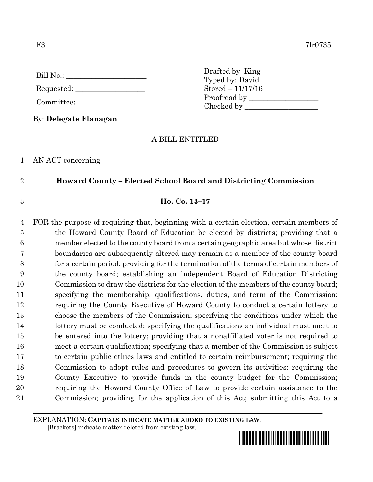| Bill No.: |  |
|-----------|--|
|           |  |

- Requested:
- Committee:

By: **Delegate Flanagan**

# A BILL ENTITLED

Drafted by: King Typed by: David Stored – 11/17/16 Proofread by

Checked by \_\_\_\_\_\_\_\_\_\_\_\_\_\_\_\_\_\_\_\_

1 AN ACT concerning

# 2 **Howard County – Elected School Board and Districting Commission**

## 3 **Ho. Co. 13–17**

 FOR the purpose of requiring that, beginning with a certain election, certain members of the Howard County Board of Education be elected by districts; providing that a member elected to the county board from a certain geographic area but whose district boundaries are subsequently altered may remain as a member of the county board for a certain period; providing for the termination of the terms of certain members of the county board; establishing an independent Board of Education Districting Commission to draw the districts for the election of the members of the county board; specifying the membership, qualifications, duties, and term of the Commission; requiring the County Executive of Howard County to conduct a certain lottery to choose the members of the Commission; specifying the conditions under which the 14 lottery must be conducted; specifying the qualifications an individual must meet to be entered into the lottery; providing that a nonaffiliated voter is not required to meet a certain qualification; specifying that a member of the Commission is subject to certain public ethics laws and entitled to certain reimbursement; requiring the Commission to adopt rules and procedures to govern its activities; requiring the County Executive to provide funds in the county budget for the Commission; requiring the Howard County Office of Law to provide certain assistance to the Commission; providing for the application of this Act; submitting this Act to a

EXPLANATION: **CAPITALS INDICATE MATTER ADDED TO EXISTING LAW**.

 **[**Brackets**]** indicate matter deleted from existing law.

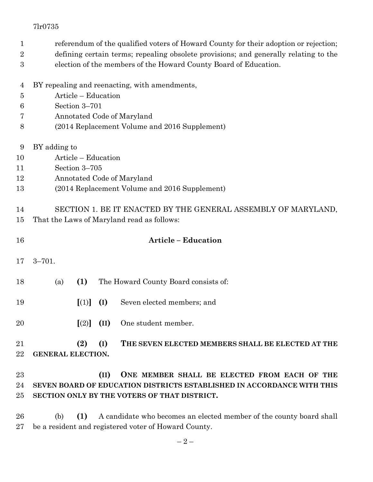| 1              | referendum of the qualified voters of Howard County for their adoption or rejection; |                     |      |                                                                        |  |  |  |
|----------------|--------------------------------------------------------------------------------------|---------------------|------|------------------------------------------------------------------------|--|--|--|
| $\overline{2}$ | defining certain terms; repealing obsolete provisions; and generally relating to the |                     |      |                                                                        |  |  |  |
| 3              | election of the members of the Howard County Board of Education.                     |                     |      |                                                                        |  |  |  |
| $\overline{4}$ | BY repealing and reenacting, with amendments,                                        |                     |      |                                                                        |  |  |  |
| 5              |                                                                                      | Article - Education |      |                                                                        |  |  |  |
| 6              | Section 3-701                                                                        |                     |      |                                                                        |  |  |  |
| 7              |                                                                                      |                     |      | Annotated Code of Maryland                                             |  |  |  |
| 8              | (2014 Replacement Volume and 2016 Supplement)                                        |                     |      |                                                                        |  |  |  |
| 9              | BY adding to                                                                         |                     |      |                                                                        |  |  |  |
| 10             |                                                                                      | Article – Education |      |                                                                        |  |  |  |
| 11             | Section 3-705                                                                        |                     |      |                                                                        |  |  |  |
| 12             | Annotated Code of Maryland                                                           |                     |      |                                                                        |  |  |  |
| 13             | (2014 Replacement Volume and 2016 Supplement)                                        |                     |      |                                                                        |  |  |  |
| 14             |                                                                                      |                     |      | SECTION 1. BE IT ENACTED BY THE GENERAL ASSEMBLY OF MARYLAND,          |  |  |  |
| 15             |                                                                                      |                     |      | That the Laws of Maryland read as follows:                             |  |  |  |
| 16             |                                                                                      |                     |      | <b>Article - Education</b>                                             |  |  |  |
| 17             | $3 - 701.$                                                                           |                     |      |                                                                        |  |  |  |
| 18             | (a)                                                                                  | (1)                 |      | The Howard County Board consists of:                                   |  |  |  |
|                |                                                                                      |                     |      |                                                                        |  |  |  |
| 19             |                                                                                      | [(1)]               | (I)  | Seven elected members; and                                             |  |  |  |
| 20             |                                                                                      | $\lceil (2) \rceil$ | (II) | One student member.                                                    |  |  |  |
| 21             |                                                                                      | (2)                 | (I)  | THE SEVEN ELECTED MEMBERS SHALL BE ELECTED AT THE                      |  |  |  |
| 22             | <b>GENERAL ELECTION.</b>                                                             |                     |      |                                                                        |  |  |  |
| 23             |                                                                                      |                     | (II) | ONE MEMBER SHALL BE ELECTED FROM EACH OF THE                           |  |  |  |
| 24             |                                                                                      |                     |      | SEVEN BOARD OF EDUCATION DISTRICTS ESTABLISHED IN ACCORDANCE WITH THIS |  |  |  |
| 25             |                                                                                      |                     |      | SECTION ONLY BY THE VOTERS OF THAT DISTRICT.                           |  |  |  |
| 26             | (b)                                                                                  | (1)                 |      | A candidate who becomes an elected member of the county board shall    |  |  |  |
| 27             |                                                                                      |                     |      | be a resident and registered voter of Howard County.                   |  |  |  |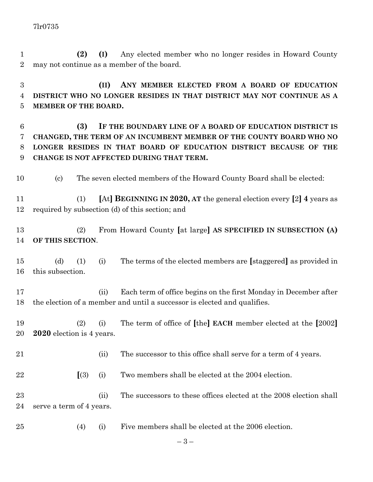**(2) (I)** Any elected member who no longer resides in Howard County may not continue as a member of the board.

 **(II) ANY MEMBER ELECTED FROM A BOARD OF EDUCATION DISTRICT WHO NO LONGER RESIDES IN THAT DISTRICT MAY NOT CONTINUE AS A MEMBER OF THE BOARD.**

 **(3) IF THE BOUNDARY LINE OF A BOARD OF EDUCATION DISTRICT IS CHANGED, THE TERM OF AN INCUMBENT MEMBER OF THE COUNTY BOARD WHO NO LONGER RESIDES IN THAT BOARD OF EDUCATION DISTRICT BECAUSE OF THE CHANGE IS NOT AFFECTED DURING THAT TERM.**

(c) The seven elected members of the Howard County Board shall be elected:

 (1) **[**At**] BEGINNING IN 2020, AT** the general election every **[**2**] 4** years as required by subsection (d) of this section; and

 (2) From Howard County **[**at large**] AS SPECIFIED IN SUBSECTION (A) OF THIS SECTION**.

 (d) (1) (i) The terms of the elected members are **[**staggered**]** as provided in this subsection.

 (ii) Each term of office begins on the first Monday in December after the election of a member and until a successor is elected and qualifies.

 (2) (i) The term of office of **[**the**] EACH** member elected at the **[**2002**] 2020** election is 4 years.

- 21 (ii) The successor to this office shall serve for a term of 4 years.
- **[**(3) (i) Two members shall be elected at the 2004 election.

23 (ii) The successors to these offices elected at the 2008 election shall serve a term of 4 years.

(4) (i) Five members shall be elected at the 2006 election.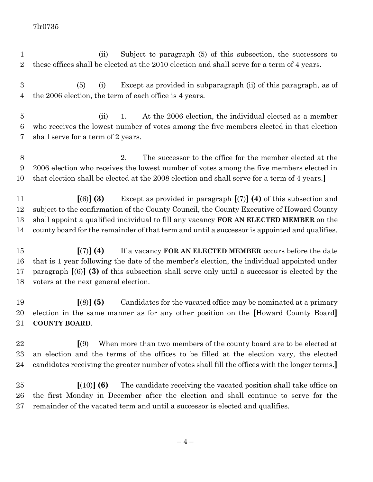(ii) Subject to paragraph (5) of this subsection, the successors to these offices shall be elected at the 2010 election and shall serve for a term of 4 years.

 (5) (i) Except as provided in subparagraph (ii) of this paragraph, as of the 2006 election, the term of each office is 4 years.

 (ii) 1. At the 2006 election, the individual elected as a member who receives the lowest number of votes among the five members elected in that election shall serve for a term of 2 years.

 2. The successor to the office for the member elected at the 2006 election who receives the lowest number of votes among the five members elected in that election shall be elected at the 2008 election and shall serve for a term of 4 years.**]**

 **[**(6)**] (3)** Except as provided in paragraph **[**(7)**] (4)** of this subsection and subject to the confirmation of the County Council, the County Executive of Howard County shall appoint a qualified individual to fill any vacancy **FOR AN ELECTED MEMBER** on the county board for the remainder of that term and until a successor is appointed and qualifies.

 **[**(7)**] (4)** If a vacancy **FOR AN ELECTED MEMBER** occurs before the date that is 1 year following the date of the member's election, the individual appointed under paragraph **[**(6)**] (3)** of this subsection shall serve only until a successor is elected by the voters at the next general election.

 **[**(8)**] (5)** Candidates for the vacated office may be nominated at a primary election in the same manner as for any other position on the **[**Howard County Board**] COUNTY BOARD**.

 **[**(9) When more than two members of the county board are to be elected at an election and the terms of the offices to be filled at the election vary, the elected candidates receiving the greater number of votes shall fill the offices with the longer terms.**]**

 **[**(10)**] (6)** The candidate receiving the vacated position shall take office on the first Monday in December after the election and shall continue to serve for the remainder of the vacated term and until a successor is elected and qualifies.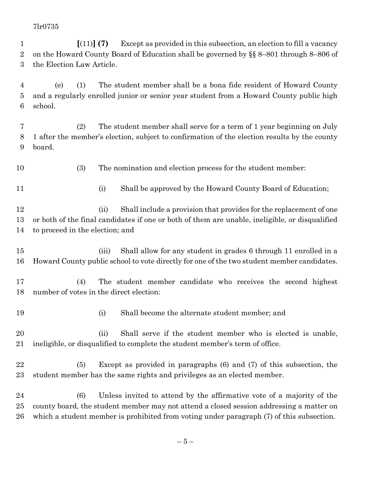**[**(11)**] (7)** Except as provided in this subsection, an election to fill a vacancy on the Howard County Board of Education shall be governed by §§ 8–801 through 8–806 of the Election Law Article.

 (e) (1) The student member shall be a bona fide resident of Howard County and a regularly enrolled junior or senior year student from a Howard County public high school.

 (2) The student member shall serve for a term of 1 year beginning on July 1 after the member's election, subject to confirmation of the election results by the county board.

(3) The nomination and election process for the student member:

11 (i) Shall be approved by the Howard County Board of Education;

12 (ii) Shall include a provision that provides for the replacement of one or both of the final candidates if one or both of them are unable, ineligible, or disqualified to proceed in the election; and

 (iii) Shall allow for any student in grades 6 through 11 enrolled in a Howard County public school to vote directly for one of the two student member candidates.

 (4) The student member candidate who receives the second highest number of votes in the direct election:

(i) Shall become the alternate student member; and

 (ii) Shall serve if the student member who is elected is unable, ineligible, or disqualified to complete the student member's term of office.

 (5) Except as provided in paragraphs (6) and (7) of this subsection, the student member has the same rights and privileges as an elected member.

 (6) Unless invited to attend by the affirmative vote of a majority of the county board, the student member may not attend a closed session addressing a matter on which a student member is prohibited from voting under paragraph (7) of this subsection.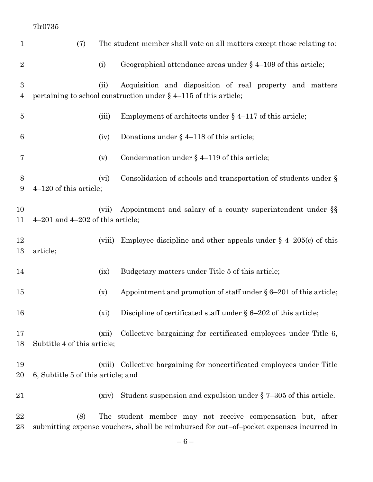| $\mathbf{1}$   | (7)                                           |        | The student member shall vote on all matters except those relating to:                                                                                |
|----------------|-----------------------------------------------|--------|-------------------------------------------------------------------------------------------------------------------------------------------------------|
| $\overline{2}$ | (i)                                           |        | Geographical attendance areas under $\S$ 4–109 of this article;                                                                                       |
| 3              | (ii)                                          |        | Acquisition and disposition of real property and matters                                                                                              |
| $\overline{4}$ |                                               |        | pertaining to school construction under $\S$ 4-115 of this article;                                                                                   |
| $\bf 5$        | (iii)                                         |        | Employment of architects under $\S$ 4–117 of this article;                                                                                            |
| 6              | (iv)                                          |        | Donations under $\S$ 4–118 of this article;                                                                                                           |
| 7              | (v)                                           |        | Condemnation under $\S$ 4-119 of this article;                                                                                                        |
| 8<br>9         | (vi)<br>$4-120$ of this article;              |        | Consolidation of schools and transportation of students under $\S$                                                                                    |
| 10<br>11       | (vii)<br>$4-201$ and $4-202$ of this article; |        | Appointment and salary of a county superintendent under §§                                                                                            |
| 12<br>13       | article;                                      | (viii) | Employee discipline and other appeals under $\S$ 4-205(c) of this                                                                                     |
| 14             | (ix)                                          |        | Budgetary matters under Title 5 of this article;                                                                                                      |
| 15             | (x)                                           |        | Appointment and promotion of staff under $\S 6-201$ of this article;                                                                                  |
| 16             | (xi)                                          |        | Discipline of certificated staff under $\S 6-202$ of this article;                                                                                    |
| 17<br>18       | (xii)<br>Subtitle 4 of this article;          |        | Collective bargaining for certificated employees under Title 6,                                                                                       |
| 19<br>20       | 6, Subtitle 5 of this article; and            | (xiii) | Collective bargaining for noncertificated employees under Title                                                                                       |
| 21             | (xiv)                                         |        | Student suspension and expulsion under $\S$ 7-305 of this article.                                                                                    |
| 22<br>$23\,$   | (8)                                           |        | The student member may not receive compensation but, after<br>submitting expense vouchers, shall be reimbursed for out-of-pocket expenses incurred in |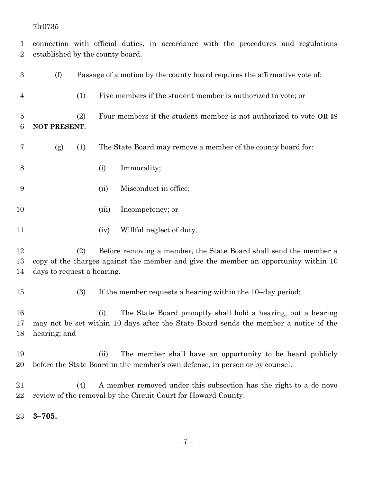connection with official duties, in accordance with the procedures and regulations established by the county board.

| $\boldsymbol{3}$    | (f)                        | Passage of a motion by the county board requires the affirmative vote of: |       |                                                                                                                                                          |
|---------------------|----------------------------|---------------------------------------------------------------------------|-------|----------------------------------------------------------------------------------------------------------------------------------------------------------|
| 4                   |                            | (1)                                                                       |       | Five members if the student member is authorized to vote; or                                                                                             |
| $\overline{5}$<br>6 | NOT PRESENT.               | (2)                                                                       |       | Four members if the student member is not authorized to vote OR IS                                                                                       |
| 7                   | (g)                        | (1)                                                                       |       | The State Board may remove a member of the county board for:                                                                                             |
| 8                   |                            |                                                                           | (i)   | Immorality;                                                                                                                                              |
| 9                   |                            |                                                                           | (ii)  | Misconduct in office;                                                                                                                                    |
| 10                  |                            |                                                                           | (iii) | Incompetency; or                                                                                                                                         |
| 11                  |                            |                                                                           | (iv)  | Willful neglect of duty.                                                                                                                                 |
| 12<br>13<br>14      | days to request a hearing. | (2)                                                                       |       | Before removing a member, the State Board shall send the member a<br>copy of the charges against the member and give the member an opportunity within 10 |
| 15                  |                            | (3)                                                                       |       | If the member requests a hearing within the 10-day period:                                                                                               |
| 16<br>17<br>18      | hearing; and               |                                                                           | (i)   | The State Board promptly shall hold a hearing, but a hearing<br>may not be set within 10 days after the State Board sends the member a notice of the     |
| 19<br>$20\,$        |                            |                                                                           | (ii)  | The member shall have an opportunity to be heard publicly<br>before the State Board in the member's own defense, in person or by counsel.                |
| $21\,$<br>22        |                            | (4)                                                                       |       | A member removed under this subsection has the right to a de novo<br>review of the removal by the Circuit Court for Howard County.                       |
| $23\,$              | $3 - 705.$                 |                                                                           |       |                                                                                                                                                          |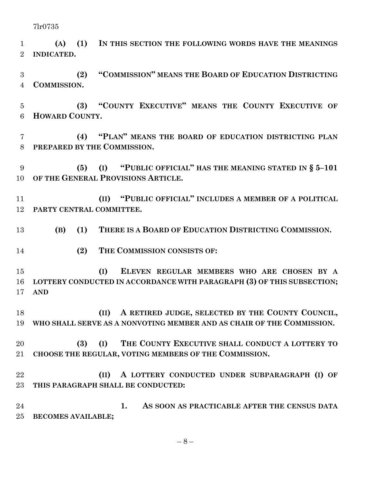**(A) (1) IN THIS SECTION THE FOLLOWING WORDS HAVE THE MEANINGS INDICATED.**

 **(2) "COMMISSION" MEANS THE BOARD OF EDUCATION DISTRICTING COMMISSION.**

 **(3) "COUNTY EXECUTIVE" MEANS THE COUNTY EXECUTIVE OF HOWARD COUNTY.**

 **(4) "PLAN" MEANS THE BOARD OF EDUCATION DISTRICTING PLAN PREPARED BY THE COMMISSION.**

 **(5) (I) "PUBLIC OFFICIAL" HAS THE MEANING STATED IN § 5–101 OF THE GENERAL PROVISIONS ARTICLE.**

 **(II) "PUBLIC OFFICIAL" INCLUDES A MEMBER OF A POLITICAL PARTY CENTRAL COMMITTEE.**

**(B) (1) THERE IS A BOARD OF EDUCATION DISTRICTING COMMISSION.**

**(2) THE COMMISSION CONSISTS OF:**

 **(I) ELEVEN REGULAR MEMBERS WHO ARE CHOSEN BY A LOTTERY CONDUCTED IN ACCORDANCE WITH PARAGRAPH (3) OF THIS SUBSECTION; AND**

 **(II) A RETIRED JUDGE, SELECTED BY THE COUNTY COUNCIL, WHO SHALL SERVE AS A NONVOTING MEMBER AND AS CHAIR OF THE COMMISSION.**

## **(3) (I) THE COUNTY EXECUTIVE SHALL CONDUCT A LOTTERY TO CHOOSE THE REGULAR, VOTING MEMBERS OF THE COMMISSION.**

 **(II) A LOTTERY CONDUCTED UNDER SUBPARAGRAPH (I) OF THIS PARAGRAPH SHALL BE CONDUCTED:**

 **1. AS SOON AS PRACTICABLE AFTER THE CENSUS DATA BECOMES AVAILABLE;**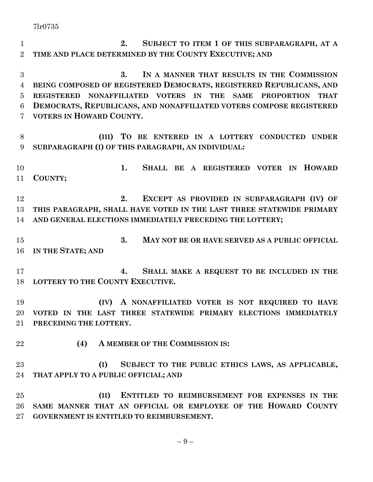**2. SUBJECT TO ITEM 1 OF THIS SUBPARAGRAPH, AT A TIME AND PLACE DETERMINED BY THE COUNTY EXECUTIVE; AND**

 **3. IN A MANNER THAT RESULTS IN THE COMMISSION BEING COMPOSED OF REGISTERED DEMOCRATS, REGISTERED REPUBLICANS, AND REGISTERED NONAFFILIATED VOTERS IN THE SAME PROPORTION THAT DEMOCRATS, REPUBLICANS, AND NONAFFILIATED VOTERS COMPOSE REGISTERED VOTERS IN HOWARD COUNTY.**

 **(III) TO BE ENTERED IN A LOTTERY CONDUCTED UNDER SUBPARAGRAPH (I) OF THIS PARAGRAPH, AN INDIVIDUAL:**

 **1. SHALL BE A REGISTERED VOTER IN HOWARD COUNTY;**

 **2. EXCEPT AS PROVIDED IN SUBPARAGRAPH (IV) OF THIS PARAGRAPH, SHALL HAVE VOTED IN THE LAST THREE STATEWIDE PRIMARY AND GENERAL ELECTIONS IMMEDIATELY PRECEDING THE LOTTERY;**

 **3. MAY NOT BE OR HAVE SERVED AS A PUBLIC OFFICIAL IN THE STATE; AND**

 **4. SHALL MAKE A REQUEST TO BE INCLUDED IN THE LOTTERY TO THE COUNTY EXECUTIVE.**

 **(IV) A NONAFFILIATED VOTER IS NOT REQUIRED TO HAVE VOTED IN THE LAST THREE STATEWIDE PRIMARY ELECTIONS IMMEDIATELY PRECEDING THE LOTTERY.**

**(4) A MEMBER OF THE COMMISSION IS:**

 **(I) SUBJECT TO THE PUBLIC ETHICS LAWS, AS APPLICABLE, THAT APPLY TO A PUBLIC OFFICIAL; AND**

 **(II) ENTITLED TO REIMBURSEMENT FOR EXPENSES IN THE SAME MANNER THAT AN OFFICIAL OR EMPLOYEE OF THE HOWARD COUNTY GOVERNMENT IS ENTITLED TO REIMBURSEMENT.**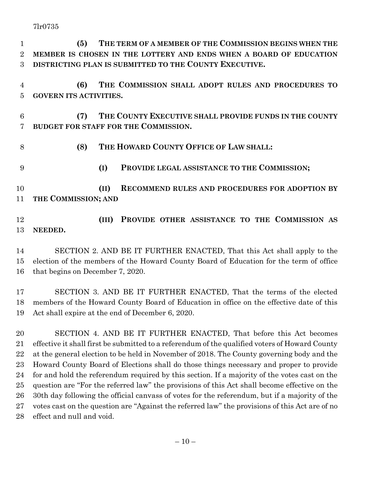- **(5) THE TERM OF A MEMBER OF THE COMMISSION BEGINS WHEN THE MEMBER IS CHOSEN IN THE LOTTERY AND ENDS WHEN A BOARD OF EDUCATION DISTRICTING PLAN IS SUBMITTED TO THE COUNTY EXECUTIVE.**
- **(6) THE COMMISSION SHALL ADOPT RULES AND PROCEDURES TO GOVERN ITS ACTIVITIES.**
- **(7) THE COUNTY EXECUTIVE SHALL PROVIDE FUNDS IN THE COUNTY BUDGET FOR STAFF FOR THE COMMISSION.**
- 8 (8) THE **HOWARD COUNTY OFFICE OF LAW SHALL: (I) PROVIDE LEGAL ASSISTANCE TO THE COMMISSION; (II) RECOMMEND RULES AND PROCEDURES FOR ADOPTION BY THE COMMISSION; AND**
- **(III) PROVIDE OTHER ASSISTANCE TO THE COMMISSION AS NEEDED.**
- SECTION 2. AND BE IT FURTHER ENACTED, That this Act shall apply to the election of the members of the Howard County Board of Education for the term of office that begins on December 7, 2020.
- SECTION 3. AND BE IT FURTHER ENACTED, That the terms of the elected members of the Howard County Board of Education in office on the effective date of this Act shall expire at the end of December 6, 2020.
- SECTION 4. AND BE IT FURTHER ENACTED, That before this Act becomes effective it shall first be submitted to a referendum of the qualified voters of Howard County at the general election to be held in November of 2018. The County governing body and the Howard County Board of Elections shall do those things necessary and proper to provide for and hold the referendum required by this section. If a majority of the votes cast on the question are "For the referred law" the provisions of this Act shall become effective on the 30th day following the official canvass of votes for the referendum, but if a majority of the votes cast on the question are "Against the referred law" the provisions of this Act are of no effect and null and void.